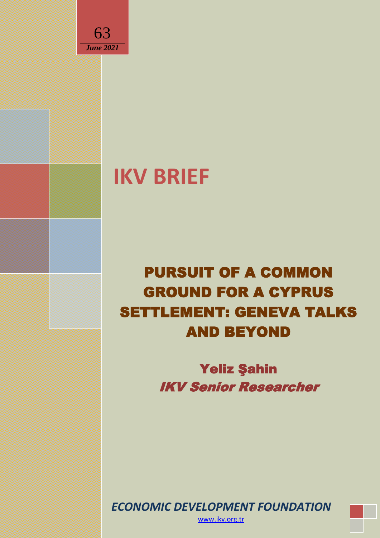

# **IKV BRIEF**

# PURSUIT OF A COMMON GROUND FOR A CYPRUS SETTLEMENT: GENEVA TALKS AND BEYOND

Yeliz Şahin IKV Senior Researcher

*ECONOMIC DEVELOPMENT FOUNDATION*

[www.ikv.org.tr](http://www.ikv.org.tr/)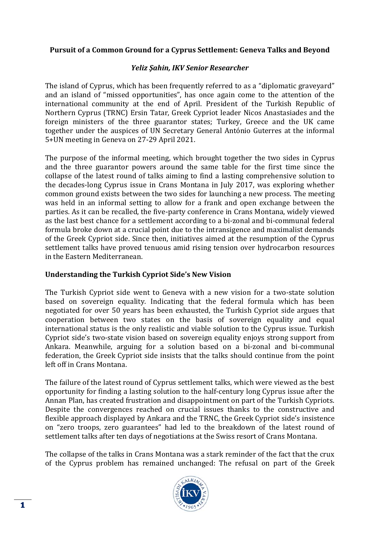#### **Pursuit of a Common Ground for a Cyprus Settlement: Geneva Talks and Beyond**

#### *Yeliz Şahin, IKV Senior Researcher*

The island of Cyprus, which has been frequently referred to as a "diplomatic graveyard" and an island of "missed opportunities", has once again come to the attention of the international community at the end of April. President of the Turkish Republic of Northern Cyprus (TRNC) Ersin Tatar, Greek Cypriot leader Nicos Anastasiades and the foreign ministers of the three guarantor states; Turkey, Greece and the UK came together under the auspices of UN Secretary General António Guterres at the informal 5+UN meeting in Geneva on 27-29 April 2021.

The purpose of the informal meeting, which brought together the two sides in Cyprus and the three guarantor powers around the same table for the first time since the collapse of the latest round of talks aiming to find a lasting comprehensive solution to the decades-long Cyprus issue in Crans Montana in July 2017, was exploring whether common ground exists between the two sides for launching a new process. The meeting was held in an informal setting to allow for a frank and open exchange between the parties. As it can be recalled, the five-party conference in Crans Montana, widely viewed as the last best chance for a settlement according to a bi-zonal and bi-communal federal formula broke down at a crucial point due to the intransigence and maximalist demands of the Greek Cypriot side. Since then, initiatives aimed at the resumption of the Cyprus settlement talks have proved tenuous amid rising tension over hydrocarbon resources in the Eastern Mediterranean.

#### **Understanding the Turkish Cypriot Side's New Vision**

The Turkish Cypriot side went to Geneva with a new vision for a two-state solution based on sovereign equality. Indicating that the federal formula which has been negotiated for over 50 years has been exhausted, the Turkish Cypriot side argues that cooperation between two states on the basis of sovereign equality and equal international status is the only realistic and viable solution to the Cyprus issue. Turkish Cypriot side's two-state vision based on sovereign equality enjoys strong support from Ankara. Meanwhile, arguing for a solution based on a bi-zonal and bi-communal federation, the Greek Cypriot side insists that the talks should continue from the point left off in Crans Montana.

The failure of the latest round of Cyprus settlement talks, which were viewed as the best opportunity for finding a lasting solution to the half-century long Cyprus issue after the Annan Plan, has created frustration and disappointment on part of the Turkish Cypriots. Despite the convergences reached on crucial issues thanks to the constructive and flexible approach displayed by Ankara and the TRNC, the Greek Cypriot side's insistence on "zero troops, zero guarantees" had led to the breakdown of the latest round of settlement talks after ten days of negotiations at the Swiss resort of Crans Montana.

The collapse of the talks in Crans Montana was a stark reminder of the fact that the crux of the Cyprus problem has remained unchanged: The refusal on part of the Greek

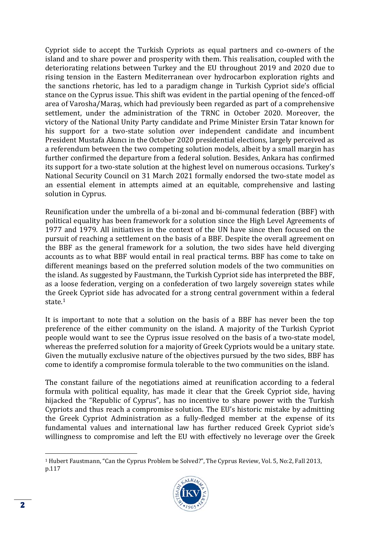Cypriot side to accept the Turkish Cypriots as equal partners and co-owners of the island and to share power and prosperity with them. This realisation, coupled with the deteriorating relations between Turkey and the EU throughout 2019 and 2020 due to rising tension in the Eastern Mediterranean over hydrocarbon exploration rights and the sanctions rhetoric, has led to a paradigm change in Turkish Cypriot side's official stance on the Cyprus issue. This shift was evident in the partial opening of the fenced-off area of Varosha/Maraş, which had previously been regarded as part of a comprehensive settlement, under the administration of the TRNC in October 2020. Moreover, the victory of the National Unity Party candidate and Prime Minister Ersin Tatar known for his support for a two-state solution over independent candidate and incumbent President Mustafa Akıncı in the October 2020 presidential elections, largely perceived as a referendum between the two competing solution models, albeit by a small margin has further confirmed the departure from a federal solution. Besides, Ankara has confirmed its support for a two-state solution at the highest level on numerous occasions. Turkey's National Security Council on 31 March 2021 formally endorsed the two-state model as an essential element in attempts aimed at an equitable, comprehensive and lasting solution in Cyprus.

Reunification under the umbrella of a bi-zonal and bi-communal federation (BBF) with political equality has been framework for a solution since the High Level Agreements of 1977 and 1979. All initiatives in the context of the UN have since then focused on the pursuit of reaching a settlement on the basis of a BBF. Despite the overall agreement on the BBF as the general framework for a solution, the two sides have held diverging accounts as to what BBF would entail in real practical terms. BBF has come to take on different meanings based on the preferred solution models of the two communities on the island. As suggested by Faustmann, the Turkish Cypriot side has interpreted the BBF, as a loose federation, verging on a confederation of two largely sovereign states while the Greek Cypriot side has advocated for a strong central government within a federal state.<sup>1</sup>

It is important to note that a solution on the basis of a BBF has never been the top preference of the either community on the island. A majority of the Turkish Cypriot people would want to see the Cyprus issue resolved on the basis of a two-state model, whereas the preferred solution for a majority of Greek Cypriots would be a unitary state. Given the mutually exclusive nature of the objectives pursued by the two sides, BBF has come to identify a compromise formula tolerable to the two communities on the island.

The constant failure of the negotiations aimed at reunification according to a federal formula with political equality, has made it clear that the Greek Cypriot side, having hijacked the "Republic of Cyprus", has no incentive to share power with the Turkish Cypriots and thus reach a compromise solution. The EU's historic mistake by admitting the Greek Cypriot Administration as a fully-fledged member at the expense of its fundamental values and international law has further reduced Greek Cypriot side's willingness to compromise and left the EU with effectively no leverage over the Greek

<sup>1</sup> Hubert Faustmann, "Can the Cyprus Problem be Solved?", The Cyprus Review, Vol. 5, No:2, Fall 2013, p.117



1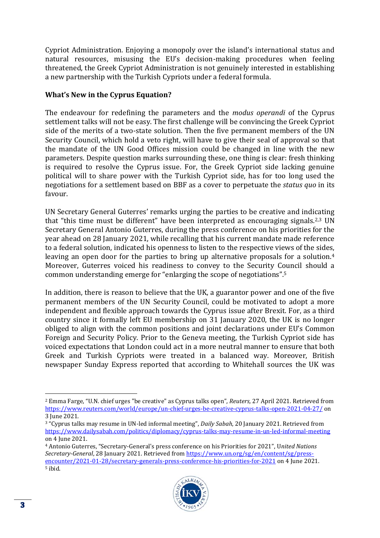Cypriot Administration. Enjoying a monopoly over the island's international status and natural resources, misusing the EU's decision-making procedures when feeling threatened, the Greek Cypriot Administration is not genuinely interested in establishing a new partnership with the Turkish Cypriots under a federal formula.

## **What's New in the Cyprus Equation?**

The endeavour for redefining the parameters and the *modus operandi* of the Cyprus settlement talks will not be easy. The first challenge will be convincing the Greek Cypriot side of the merits of a two-state solution. Then the five permanent members of the UN Security Council, which hold a veto right, will have to give their seal of approval so that the mandate of the UN Good Offices mission could be changed in line with the new parameters. Despite question marks surrounding these, one thing is clear: fresh thinking is required to resolve the Cyprus issue. For, the Greek Cypriot side lacking genuine political will to share power with the Turkish Cypriot side, has for too long used the negotiations for a settlement based on BBF as a cover to perpetuate the *status quo* in its favour.

UN Secretary General Guterres' remarks urging the parties to be creative and indicating that "this time must be different" have been interpreted as encouraging signals.<sup>2,3</sup> UN Secretary General Antonio Guterres, during the press conference on his priorities for the year ahead on 28 January 2021, while recalling that his current mandate made reference to a federal solution, indicated his openness to listen to the respective views of the sides, leaving an open door for the parties to bring up alternative proposals for a solution.<sup>4</sup> Moreover, Guterres voiced his readiness to convey to the Security Council should a common understanding emerge for "enlarging the scope of negotiations". 5

In addition, there is reason to believe that the UK, a guarantor power and one of the five permanent members of the UN Security Council, could be motivated to adopt a more independent and flexible approach towards the Cyprus issue after Brexit. For, as a third country since it formally left EU membership on 31 January 2020, the UK is no longer obliged to align with the common positions and joint declarations under EU's Common Foreign and Security Policy. Prior to the Geneva meeting, the Turkish Cypriot side has voiced expectations that London could act in a more neutral manner to ensure that both Greek and Turkish Cypriots were treated in a balanced way. Moreover, British newspaper Sunday Express reported that according to Whitehall sources the UK was

<sup>4</sup> Antonio Guterres, "Secretary-General's press conference on his Priorities for 2021", U*nited Nations Secretary-General*, 28 January 2021. Retrieved from [https://www.un.org/sg/en/content/sg/press](https://www.un.org/sg/en/content/sg/press-encounter/2021-01-28/secretary-generals-press-conference-his-priorities-for-2021)[encounter/2021-01-28/secretary-generals-press-conference-his-priorities-for-2021](https://www.un.org/sg/en/content/sg/press-encounter/2021-01-28/secretary-generals-press-conference-his-priorities-for-2021) on 4 June 2021. <sup>5</sup> ibid.



<u>.</u>

<sup>2</sup> Emma Farge, "U.N. chief urges "be creative" as Cyprus talks open", *Reuters,* 27 April 2021. Retrieved from <https://www.reuters.com/world/europe/un-chief-urges-be-creative-cyprus-talks-open-2021-04-27/> on 3 June 2021.

<sup>3</sup> "Cyprus talks may resume in UN-led informal meeting", *Daily Sabah*, 20 January 2021. Retrieved from <https://www.dailysabah.com/politics/diplomacy/cyprus-talks-may-resume-in-un-led-informal-meeting> on 4 June 2021.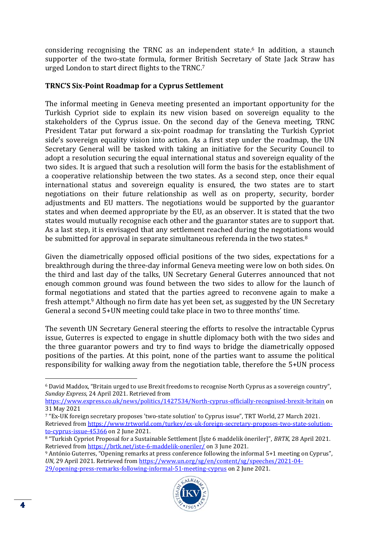considering recognising the TRNC as an independent state.<sup>6</sup> In addition, a staunch supporter of the two-state formula, former British Secretary of State Jack Straw has urged London to start direct flights to the TRNC.<sup>7</sup>

### **TRNC'S Six-Point Roadmap for a Cyprus Settlement**

The informal meeting in Geneva meeting presented an important opportunity for the Turkish Cypriot side to explain its new vision based on sovereign equality to the stakeholders of the Cyprus issue. On the second day of the Geneva meeting, TRNC President Tatar put forward a six-point roadmap for translating the Turkish Cypriot side's sovereign equality vision into action. As a first step under the roadmap, the UN Secretary General will be tasked with taking an initiative for the Security Council to adopt a resolution securing the equal international status and sovereign equality of the two sides. It is argued that such a resolution will form the basis for the establishment of a cooperative relationship between the two states. As a second step, once their equal international status and sovereign equality is ensured, the two states are to start negotiations on their future relationship as well as on property, security, border adjustments and EU matters. The negotiations would be supported by the guarantor states and when deemed appropriate by the EU, as an observer. It is stated that the two states would mutually recognise each other and the guarantor states are to support that. As a last step, it is envisaged that any settlement reached during the negotiations would be submitted for approval in separate simultaneous referenda in the two states.<sup>8</sup>

Given the diametrically opposed official positions of the two sides, expectations for a breakthrough during the three-day informal Geneva meeting were low on both sides. On the third and last day of the talks, UN Secretary General Guterres announced that not enough common ground was found between the two sides to allow for the launch of formal negotiations and stated that the parties agreed to reconvene again to make a fresh attempt.<sup>9</sup> Although no firm date has yet been set, as suggested by the UN Secretary General a second 5+UN meeting could take place in two to three months' time.

The seventh UN Secretary General steering the efforts to resolve the intractable Cyprus issue, Guterres is expected to engage in shuttle diplomacy both with the two sides and the three guarantor powers and try to find ways to bridge the diametrically opposed positions of the parties. At this point, none of the parties want to assume the political responsibility for walking away from the negotiation table, therefore the 5+UN process

<sup>9</sup> António Guterres, "Opening remarks at press conference following the informal 5+1 meeting on Cyprus", *UN,* 29 April 2021. Retrieved from [https://www.un.org/sg/en/content/sg/speeches/2021-04-](https://www.un.org/sg/en/content/sg/speeches/2021-04-29/opening-press-remarks-following-informal-51-meeting-cyprus) [29/opening-press-remarks-following-informal-51-meeting-cyprus](https://www.un.org/sg/en/content/sg/speeches/2021-04-29/opening-press-remarks-following-informal-51-meeting-cyprus) on 2 June 2021.



1

<sup>6</sup> David Maddox, "Britain urged to use Brexit freedoms to recognise North Cyprus as a sovereign country", *Sunday Express*, 24 April 2021. Retrieved from

<https://www.express.co.uk/news/politics/1427534/North-cyprus-officially-recognised-brexit-britain> on 31 May 2021

<sup>7</sup> "Ex-UK foreign secretary proposes 'two-state solution' to Cyprus issue", TRT World, 27 March 2021. Retrieved from [https://www.trtworld.com/turkey/ex-uk-foreign-secretary-proposes-two-state-solution](https://www.trtworld.com/turkey/ex-uk-foreign-secretary-proposes-two-state-solution-to-cyprus-issue-45366)[to-cyprus-issue-45366](https://www.trtworld.com/turkey/ex-uk-foreign-secretary-proposes-two-state-solution-to-cyprus-issue-45366) on 2 June 2021.

<sup>8</sup> "Turkish Cypriot Proposal for a Sustainable Settlement [İşte 6 maddelik öneriler]", *BRTK,* 28 April 2021. Retrieved from<https://brtk.net/iste-6-maddelik-oneriler/> on 3 June 2021.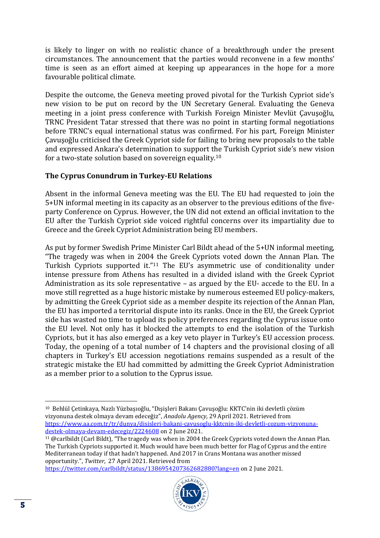is likely to linger on with no realistic chance of a breakthrough under the present circumstances. The announcement that the parties would reconvene in a few months' time is seen as an effort aimed at keeping up appearances in the hope for a more favourable political climate.

Despite the outcome, the Geneva meeting proved pivotal for the Turkish Cypriot side's new vision to be put on record by the UN Secretary General. Evaluating the Geneva meeting in a joint press conference with Turkish Foreign Minister Mevlüt Çavuşoğlu, TRNC President Tatar stressed that there was no point in starting formal negotiations before TRNC's equal international status was confirmed. For his part, Foreign Minister Çavuşoğlu criticised the Greek Cypriot side for failing to bring new proposals to the table and expressed Ankara's determination to support the Turkish Cypriot side's new vision for a two-state solution based on sovereign equality.<sup>10</sup>

# **The Cyprus Conundrum in Turkey-EU Relations**

Absent in the informal Geneva meeting was the EU. The EU had requested to join the 5+UN informal meeting in its capacity as an observer to the previous editions of the fiveparty Conference on Cyprus. However, the UN did not extend an official invitation to the EU after the Turkish Cypriot side voiced rightful concerns over its impartiality due to Greece and the Greek Cypriot Administration being EU members.

As put by former Swedish Prime Minister Carl Bildt ahead of the 5+UN informal meeting, "The tragedy was when in 2004 the Greek Cypriots voted down the Annan Plan. The Turkish Cypriots supported it."<sup>11</sup> The EU's asymmetric use of conditionality under intense pressure from Athens has resulted in a divided island with the Greek Cypriot Administration as its sole representative – as argued by the EU- accede to the EU. In a move still regretted as a huge historic mistake by numerous esteemed EU policy-makers, by admitting the Greek Cypriot side as a member despite its rejection of the Annan Plan, the EU has imported a territorial dispute into its ranks. Once in the EU, the Greek Cypriot side has wasted no time to upload its policy preferences regarding the Cyprus issue onto the EU level. Not only has it blocked the attempts to end the isolation of the Turkish Cypriots, but it has also emerged as a key veto player in Turkey's EU accession process. Today, the opening of a total number of 14 chapters and the provisional closing of all chapters in Turkey's EU accession negotiations remains suspended as a result of the strategic mistake the EU had committed by admitting the Greek Cypriot Administration as a member prior to a solution to the Cyprus issue.

<https://twitter.com/carlbildt/status/1386954207362682880?lang=en> on 2 June 2021.



1

<sup>10</sup> Behlül Çetinkaya, Nazlı Yüzbaşıoğlu, "Dışişleri Bakanı Çavuşoğlu: KKTC'nin iki devletli çözüm vizyonuna destek olmaya devam edeceğiz", *Anadolu Agency*, 29 April 2021. Retrieved from [https://www.aa.com.tr/tr/dunya/disisleri-bakani-cavusoglu-kktcnin-iki-devletli-cozum-vizyonuna](https://www.aa.com.tr/tr/dunya/disisleri-bakani-cavusoglu-kktcnin-iki-devletli-cozum-vizyonuna-destek-olmaya-devam-edecegiz/2224608)[destek-olmaya-devam-edecegiz/2224608](https://www.aa.com.tr/tr/dunya/disisleri-bakani-cavusoglu-kktcnin-iki-devletli-cozum-vizyonuna-destek-olmaya-devam-edecegiz/2224608) on 2 June 2021.

<sup>11</sup> @carlbildt (Carl Bildt), "The tragedy was when in 2004 the Greek Cypriots voted down the Annan Plan. The Turkish Cypriots supported it. Much would have been much better for Flag of Cyprus and the entire Mediterranean today if that hadn't happened. And 2017 in Crans Montana was another missed opportunity.", *Twitter*, 27 April 2021. Retrieved from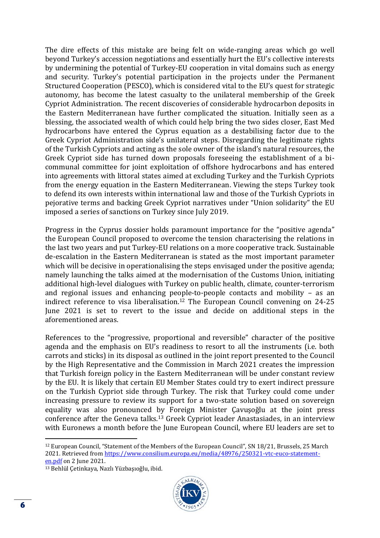The dire effects of this mistake are being felt on wide-ranging areas which go well beyond Turkey's accession negotiations and essentially hurt the EU's collective interests by undermining the potential of Turkey-EU cooperation in vital domains such as energy and security. Turkey's potential participation in the projects under the Permanent Structured Cooperation (PESCO), which is considered vital to the EU's quest for strategic autonomy, has become the latest casualty to the unilateral membership of the Greek Cypriot Administration. The recent discoveries of considerable hydrocarbon deposits in the Eastern Mediterranean have further complicated the situation. Initially seen as a blessing, the associated wealth of which could help bring the two sides closer, East Med hydrocarbons have entered the Cyprus equation as a destabilising factor due to the Greek Cypriot Administration side's unilateral steps. Disregarding the legitimate rights of the Turkish Cypriots and acting as the sole owner of the island's natural resources, the Greek Cypriot side has turned down proposals foreseeing the establishment of a bicommunal committee for joint exploitation of offshore hydrocarbons and has entered into agreements with littoral states aimed at excluding Turkey and the Turkish Cypriots from the energy equation in the Eastern Mediterranean. Viewing the steps Turkey took to defend its own interests within international law and those of the Turkish Cypriots in pejorative terms and backing Greek Cypriot narratives under "Union solidarity" the EU imposed a series of sanctions on Turkey since July 2019.

Progress in the Cyprus dossier holds paramount importance for the "positive agenda" the European Council proposed to overcome the tension characterising the relations in the last two years and put Turkey-EU relations on a more cooperative track. Sustainable de-escalation in the Eastern Mediterranean is stated as the most important parameter which will be decisive in operationalising the steps envisaged under the positive agenda; namely launching the talks aimed at the modernisation of the Customs Union, initiating additional high-level dialogues with Turkey on public health, climate, counter-terrorism and regional issues and enhancing people-to-people contacts and mobility – as an indirect reference to visa liberalisation.<sup>12</sup> The European Council convening on 24-25 June 2021 is set to revert to the issue and decide on additional steps in the aforementioned areas.

References to the "progressive, proportional and reversible" character of the positive agenda and the emphasis on EU's readiness to resort to all the instruments (i.e. both carrots and sticks) in its disposal as outlined in the joint report presented to the Council by the High Representative and the Commission in March 2021 creates the impression that Turkish foreign policy in the Eastern Mediterranean will be under constant review by the EU. It is likely that certain EU Member States could try to exert indirect pressure on the Turkish Cypriot side through Turkey. The risk that Turkey could come under increasing pressure to review its support for a two-state solution based on sovereign equality was also pronounced by Foreign Minister Çavuşoğlu at the joint press conference after the Geneva talks.<sup>13</sup> Greek Cypriot leader Anastasiades, in an interview with Euronews a month before the June European Council, where EU leaders are set to

<sup>13</sup> Behlül Çetinkaya, Nazlı Yüzbaşıoğlu, ibid.



<u>.</u>

<sup>12</sup> European Council, "Statement of the Members of the European Council", SN 18/21, Brussels, 25 March 2021. Retrieved from [https://www.consilium.europa.eu/media/48976/250321-vtc-euco-statement](https://www.consilium.europa.eu/media/48976/250321-vtc-euco-statement-en.pdf)[en.pdf](https://www.consilium.europa.eu/media/48976/250321-vtc-euco-statement-en.pdf) on 2 June 2021.